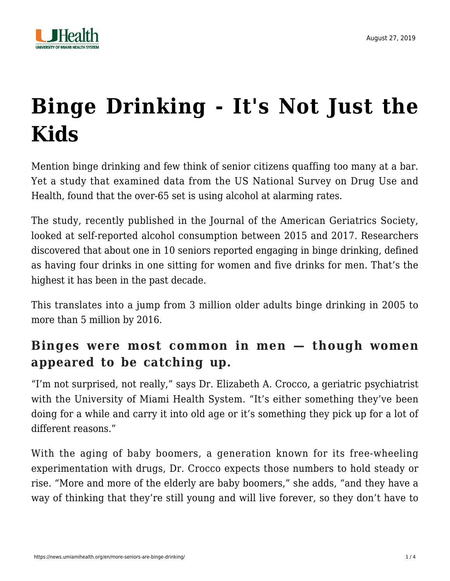

# **[Binge Drinking - It's Not Just the](https://news.umiamihealth.org/en/more-seniors-are-binge-drinking/) [Kids](https://news.umiamihealth.org/en/more-seniors-are-binge-drinking/)**

Mention binge drinking and few think of senior citizens quaffing too many at a bar. Yet a study that examined data from the US National Survey on Drug Use and Health, found that the over-65 set is using alcohol at alarming rates.

The study, recently published in the Journal of the American Geriatrics Society, looked at self-reported alcohol consumption between 2015 and 2017. Researchers discovered that about one in 10 seniors reported engaging in binge drinking, defined as having four drinks in one sitting for women and five drinks for men. That's the highest it has been in the past decade.

This translates into a jump from 3 million older adults binge drinking in 2005 to more than 5 million by 2016.

#### **Binges were most common in men — though women appeared to be catching up.**

"I'm not surprised, not really," says [Dr. Elizabeth A. Crocco](https://doctors.umiamihealth.org/provider/Elizabeth+A+Crocco/525212?unified=Dr.%20Elizabeth%20A.%20Crocco&sort=relevance&tt=b4b055cc-5b85-4383-a590-8a5387204c10&ut=7caf4754-1d3c-4b4d-b7cb-a515fbf4e389×tamp=2019-08-27T20%3A13%3A32.655Z), a geriatric psychiatrist with the University of Miami Health System. "It's either something they've been doing for a while and carry it into old age or it's something they pick up for a lot of different reasons."

With the aging of baby boomers, a generation known for its free-wheeling experimentation with drugs, Dr. Crocco expects those numbers to hold steady or rise. "More and more of the elderly are baby boomers," she adds, "and they have a way of thinking that they're still young and will live forever, so they don't have to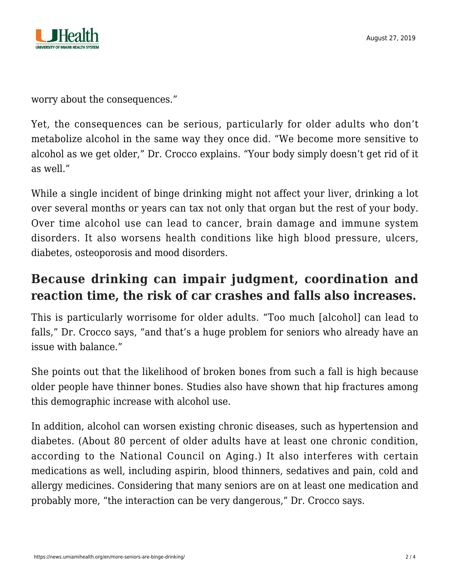

worry about the consequences."

Yet, the consequences can be serious, particularly for older adults who don't metabolize alcohol in the same way they once did. "We become more sensitive to alcohol as we get older," Dr. Crocco explains. "Your body simply doesn't get rid of it as well."

While a single incident of binge drinking might not affect your liver, drinking a lot over several months or years can tax not only that organ but the rest of your body. Over time [alcohol use](https://news.umiamihealth.org/en/making-sense-of-alcohol-studies/) can lead to cancer, brain damage and immune system disorders. It also worsens health conditions like high blood pressure, ulcers, diabetes, osteoporosis and mood disorders.

### **Because drinking can impair judgment, coordination and reaction time, the risk of car crashes and falls also increases.**

This is particularly worrisome for older adults. "Too much [alcohol] can lead to falls," Dr. Crocco says, "and that's a huge problem for seniors who already have an issue with balance."

She points out that the likelihood of broken bones from such a fall is high because older people have thinner bones. Studies also have shown that hip fractures among this demographic increase with alcohol use.

In addition, alcohol can worsen existing chronic diseases, such as hypertension and diabetes. (About 80 percent of older adults have at least one chronic condition, according to the National Council on Aging.) It also interferes with certain medications as well, including aspirin, blood thinners, sedatives and pain, cold and allergy medicines. Considering that many seniors are on at least one medication and probably more, "the interaction can be very dangerous," Dr. Crocco says.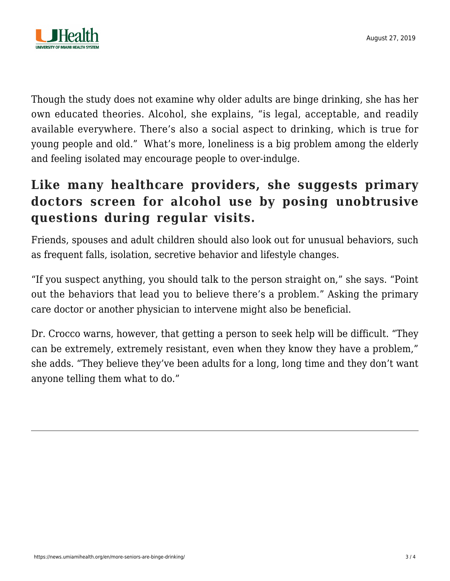

Though the study does not examine why older adults are binge drinking, she has her own educated theories. Alcohol, she explains, "is legal, acceptable, and readily available everywhere. There's also a social aspect to drinking, which is true for young people and old." What's more, loneliness is a big problem among the elderly and feeling isolated may encourage people to over-indulge.

## **Like many healthcare providers, she suggests primary doctors screen for alcohol use by posing unobtrusive questions during regular visits.**

Friends, spouses and adult children should also look out for unusual behaviors, such as frequent falls, isolation, secretive behavior and lifestyle changes.

"If you suspect anything, you should talk to the person straight on," she says. "Point out the behaviors that lead you to believe there's a problem." Asking the primary care doctor or another physician to intervene might also be beneficial.

Dr. Crocco warns, however, that getting a person to seek help will be difficult. "They can be extremely, extremely resistant, even when they know they have a problem," she adds. "They believe they've been adults for a long, long time and they don't want anyone telling them what to do."